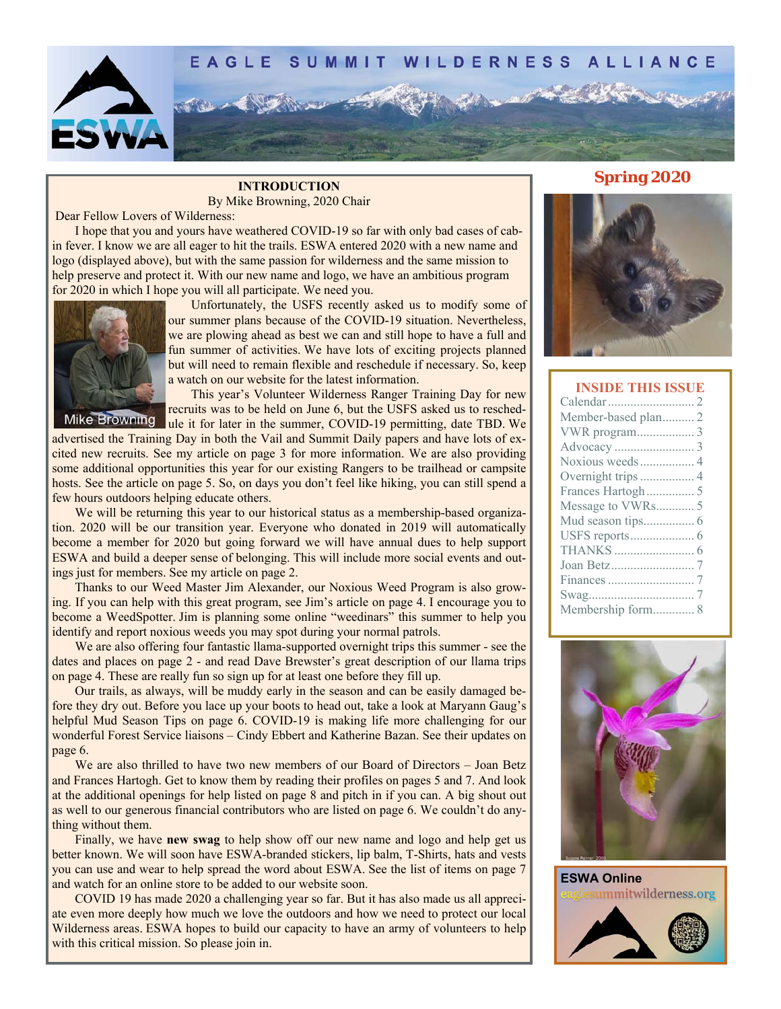

By Mike Browning, 2020 Chair

Dear Fellow Lovers of Wilderness:

 I hope that you and yours have weathered COVID-19 so far with only bad cases of cabin fever. I know we are all eager to hit the trails. ESWA entered 2020 with a new name and logo (displayed above), but with the same passion for wilderness and the same mission to help preserve and protect it. With our new name and logo, we have an ambitious program for 2020 in which I hope you will all participate. We need you.



 Unfortunately, the USFS recently asked us to modify some of our summer plans because of the COVID-19 situation. Nevertheless, we are plowing ahead as best we can and still hope to have a full and fun summer of activities. We have lots of exciting projects planned but will need to remain flexible and reschedule if necessary. So, keep a watch on our website for the latest information.

 This year's Volunteer Wilderness Ranger Training Day for new recruits was to be held on June 6, but the USFS asked us to reschedule it for later in the summer, COVID-19 permitting, date TBD. We

advertised the Training Day in both the Vail and Summit Daily papers and have lots of excited new recruits. See my article on page 3 for more information. We are also providing some additional opportunities this year for our existing Rangers to be trailhead or campsite hosts. See the article on page 5. So, on days you don't feel like hiking, you can still spend a few hours outdoors helping educate others.

 We will be returning this year to our historical status as a membership-based organization. 2020 will be our transition year. Everyone who donated in 2019 will automatically become a member for 2020 but going forward we will have annual dues to help support ESWA and build a deeper sense of belonging. This will include more social events and outings just for members. See my article on page 2.

 Thanks to our Weed Master Jim Alexander, our Noxious Weed Program is also growing. If you can help with this great program, see Jim's article on page 4. I encourage you to become a WeedSpotter. Jim is planning some online "weedinars" this summer to help you identify and report noxious weeds you may spot during your normal patrols.

 We are also offering four fantastic llama-supported overnight trips this summer - see the dates and places on page 2 - and read Dave Brewster's great description of our llama trips on page 4. These are really fun so sign up for at least one before they fill up.

 Our trails, as always, will be muddy early in the season and can be easily damaged before they dry out. Before you lace up your boots to head out, take a look at Maryann Gaug's helpful Mud Season Tips on page 6. COVID-19 is making life more challenging for our wonderful Forest Service liaisons – Cindy Ebbert and Katherine Bazan. See their updates on page 6.

 We are also thrilled to have two new members of our Board of Directors – Joan Betz and Frances Hartogh. Get to know them by reading their profiles on pages 5 and 7. And look at the additional openings for help listed on page 8 and pitch in if you can. A big shout out as well to our generous financial contributors who are listed on page 6. We couldn't do anything without them.

 Finally, we have **new swag** to help show off our new name and logo and help get us better known. We will soon have ESWA-branded stickers, lip balm, T-Shirts, hats and vests you can use and wear to help spread the word about ESWA. See the list of items on page 7 and watch for an online store to be added to our website soon.

 COVID 19 has made 2020 a challenging year so far. But it has also made us all appreciate even more deeply how much we love the outdoors and how we need to protect our local Wilderness areas. ESWA hopes to build our capacity to have an army of volunteers to help with this critical mission. So please join in.

# **INTRODUCTION Spring 2020**



#### **INSIDE THIS ISSUE**



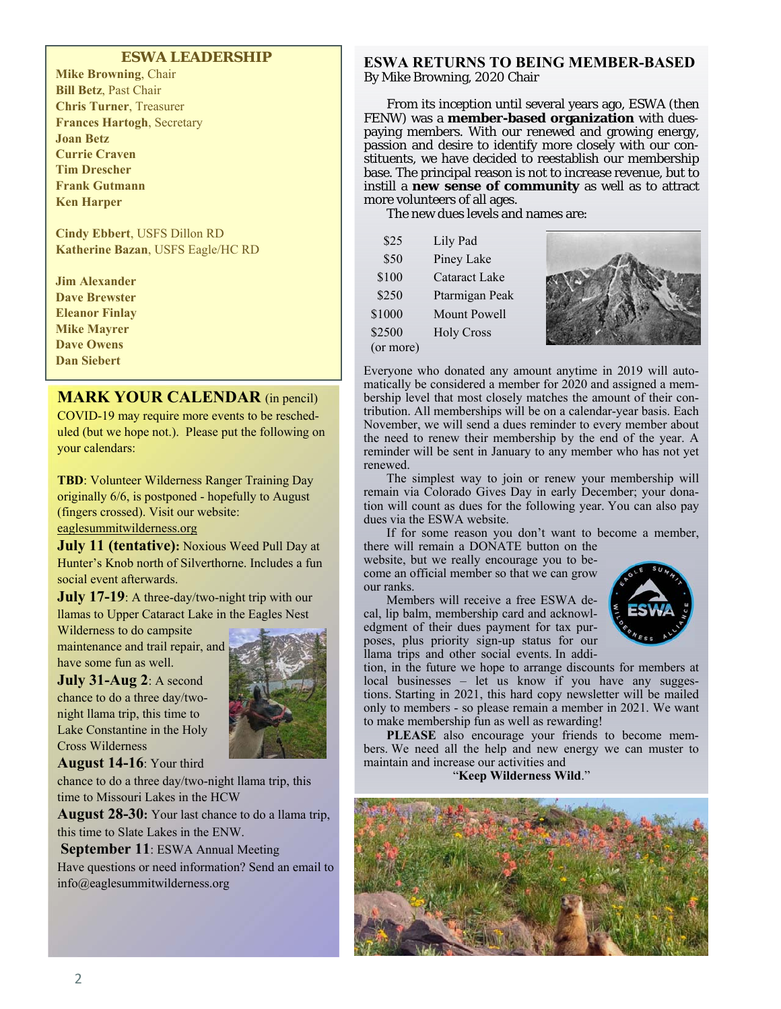#### **ESWA LEADERSHIP**

**Mike Browning**, Chair **Bill Betz**, Past Chair **Chris Turner**, Treasurer **Frances Hartogh**, Secretary **Joan Betz Currie Craven Tim Drescher Frank Gutmann Ken Harper** 

**Cindy Ebbert**, USFS Dillon RD **Katherine Bazan**, USFS Eagle/HC RD

**Jim Alexander Dave Brewster Eleanor Finlay Mike Mayrer Dave Owens Dan Siebert** 

#### **MARK YOUR CALENDAR** (in pencil)

COVID-19 may require more events to be rescheduled (but we hope not.). Please put the following on your calendars:

**TBD**: Volunteer Wilderness Ranger Training Day originally 6/6, is postponed - hopefully to August (fingers crossed). Visit our website: eaglesummitwilderness.org

**July 11 (tentative):** Noxious Weed Pull Day at Hunter's Knob north of Silverthorne. Includes a fun social event afterwards.

**July 17-19**: A three-day/two-night trip with our llamas to Upper Cataract Lake in the Eagles Nest

Wilderness to do campsite maintenance and trail repair, and have some fun as well.

**July 31-Aug 2**: A second chance to do a three day/twonight llama trip, this time to Lake Constantine in the Holy Cross Wilderness



**August 14-16**: Your third

chance to do a three day/two-night llama trip, this time to Missouri Lakes in the HCW

**August 28-30:** Your last chance to do a llama trip, this time to Slate Lakes in the ENW.

**September 11**: ESWA Annual Meeting Have questions or need information? Send an email to info@eaglesummitwilderness.org

#### **ESWA RETURNS TO BEING MEMBER-BASED**  By Mike Browning, 2020 Chair

 From its inception until several years ago, ESWA (then FENW) was a **member-based organization** with duespaying members. With our renewed and growing energy, passion and desire to identify more closely with our constituents, we have decided to reestablish our membership base. The principal reason is not to increase revenue, but to instill a **new sense of community** as well as to attract more volunteers of all ages.

The new dues levels and names are:

| \$25   | Lily Pad          |
|--------|-------------------|
| \$50   | Piney Lake        |
| \$100  | Cataract Lake     |
| \$250  | Ptarmigan Peak    |
| \$1000 | Mount Powell      |
| \$2500 | <b>Holy Cross</b> |

(or more)



Everyone who donated any amount anytime in 2019 will automatically be considered a member for 2020 and assigned a membership level that most closely matches the amount of their contribution. All memberships will be on a calendar-year basis. Each November, we will send a dues reminder to every member about the need to renew their membership by the end of the year. A reminder will be sent in January to any member who has not yet renewed.

 The simplest way to join or renew your membership will remain via Colorado Gives Day in early December; your donation will count as dues for the following year. You can also pay dues via the ESWA website.

 If for some reason you don't want to become a member, there will remain a DONATE button on the

website, but we really encourage you to become an official member so that we can grow our ranks.

 Members will receive a free ESWA decal, lip balm, membership card and acknowledgment of their dues payment for tax purposes, plus priority sign-up status for our llama trips and other social events. In addi-



tion, in the future we hope to arrange discounts for members at local businesses – let us know if you have any suggestions. Starting in 2021, this hard copy newsletter will be mailed only to members - so please remain a member in 2021. We want to make membership fun as well as rewarding!

**PLEASE** also encourage your friends to become members. We need all the help and new energy we can muster to maintain and increase our activities and

#### "**Keep Wilderness Wild**."

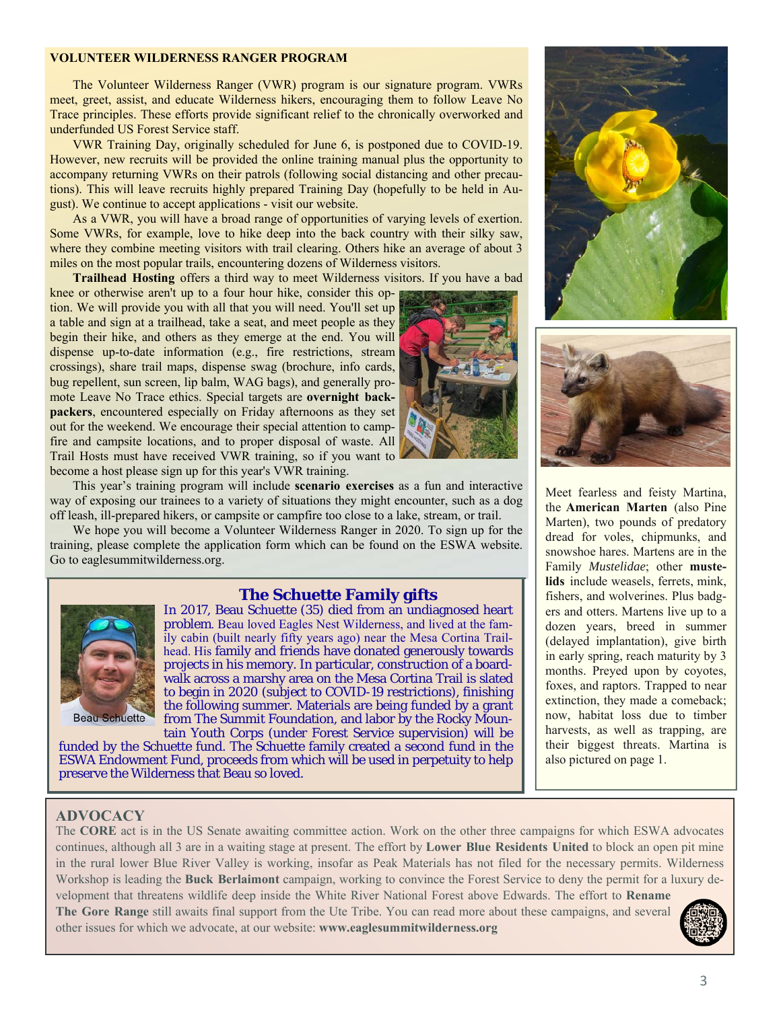#### **VOLUNTEER WILDERNESS RANGER PROGRAM**

 The Volunteer Wilderness Ranger (VWR) program is our signature program. VWRs meet, greet, assist, and educate Wilderness hikers, encouraging them to follow Leave No Trace principles. These efforts provide significant relief to the chronically overworked and underfunded US Forest Service staff.

 VWR Training Day, originally scheduled for June 6, is postponed due to COVID-19. However, new recruits will be provided the online training manual plus the opportunity to accompany returning VWRs on their patrols (following social distancing and other precautions). This will leave recruits highly prepared Training Day (hopefully to be held in August). We continue to accept applications - visit our website.

 As a VWR, you will have a broad range of opportunities of varying levels of exertion. Some VWRs, for example, love to hike deep into the back country with their silky saw, where they combine meeting visitors with trail clearing. Others hike an average of about 3 miles on the most popular trails, encountering dozens of Wilderness visitors.

**Trailhead Hosting** offers a third way to meet Wilderness visitors. If you have a bad

knee or otherwise aren't up to a four hour hike, consider this option. We will provide you with all that you will need. You'll set up a table and sign at a trailhead, take a seat, and meet people as they begin their hike, and others as they emerge at the end. You will dispense up-to-date information (e.g., fire restrictions, stream crossings), share trail maps, dispense swag (brochure, info cards, bug repellent, sun screen, lip balm, WAG bags), and generally promote Leave No Trace ethics. Special targets are **overnight backpackers**, encountered especially on Friday afternoons as they set out for the weekend. We encourage their special attention to campfire and campsite locations, and to proper disposal of waste. All Trail Hosts must have received VWR training, so if you want to become a host please sign up for this year's VWR training.



 This year's training program will include **scenario exercises** as a fun and interactive way of exposing our trainees to a variety of situations they might encounter, such as a dog off leash, ill-prepared hikers, or campsite or campfire too close to a lake, stream, or trail.

 We hope you will become a Volunteer Wilderness Ranger in 2020. To sign up for the training, please complete the application form which can be found on the ESWA website. Go to eaglesummitwilderness.org.

#### **The Schuette Family gifts**



In 2017, Beau Schuette (35) died from an undiagnosed heart problem. Beau loved Eagles Nest Wilderness, and lived at the family cabin (built nearly fifty years ago) near the Mesa Cortina Trailhead. His family and friends have donated generously towards projects in his memory. In particular, construction of a boardwalk across a marshy area on the Mesa Cortina Trail is slated to begin in 2020 (subject to COVID-19 restrictions), finishing the following summer. Materials are being funded by a grant from The Summit Foundation, and labor by the Rocky Mountain Youth Corps (under Forest Service supervision) will be

funded by the Schuette fund. The Schuette family created a *second fund* in the ESWA Endowment Fund, proceeds from which will be used in perpetuity to help preserve the Wilderness that Beau so loved.





Meet fearless and feisty Martina, the **American Marten** (also Pine Marten), two pounds of predatory dread for voles, chipmunks, and snowshoe hares. Martens are in the Family *Mustelidae*; other **mustelids** include weasels, ferrets, mink, fishers, and wolverines. Plus badgers and otters. Martens live up to a dozen years, breed in summer (delayed implantation), give birth in early spring, reach maturity by 3 months. Preyed upon by coyotes, foxes, and raptors. Trapped to near extinction, they made a comeback; now, habitat loss due to timber harvests, as well as trapping, are their biggest threats. Martina is also pictured on page 1.

#### **ADVOCACY**

The **CORE** act is in the US Senate awaiting committee action. Work on the other three campaigns for which ESWA advocates continues, although all 3 are in a waiting stage at present. The effort by **Lower Blue Residents United** to block an open pit mine in the rural lower Blue River Valley is working, insofar as Peak Materials has not filed for the necessary permits. Wilderness Workshop is leading the **Buck Berlaimont** campaign, working to convince the Forest Service to deny the permit for a luxury development that threatens wildlife deep inside the White River National Forest above Edwards. The effort to **Rename** 

**The Gore Range** still awaits final support from the Ute Tribe. You can read more about these campaigns, and several other issues for which we advocate, at our website: **www.eaglesummitwilderness.org**

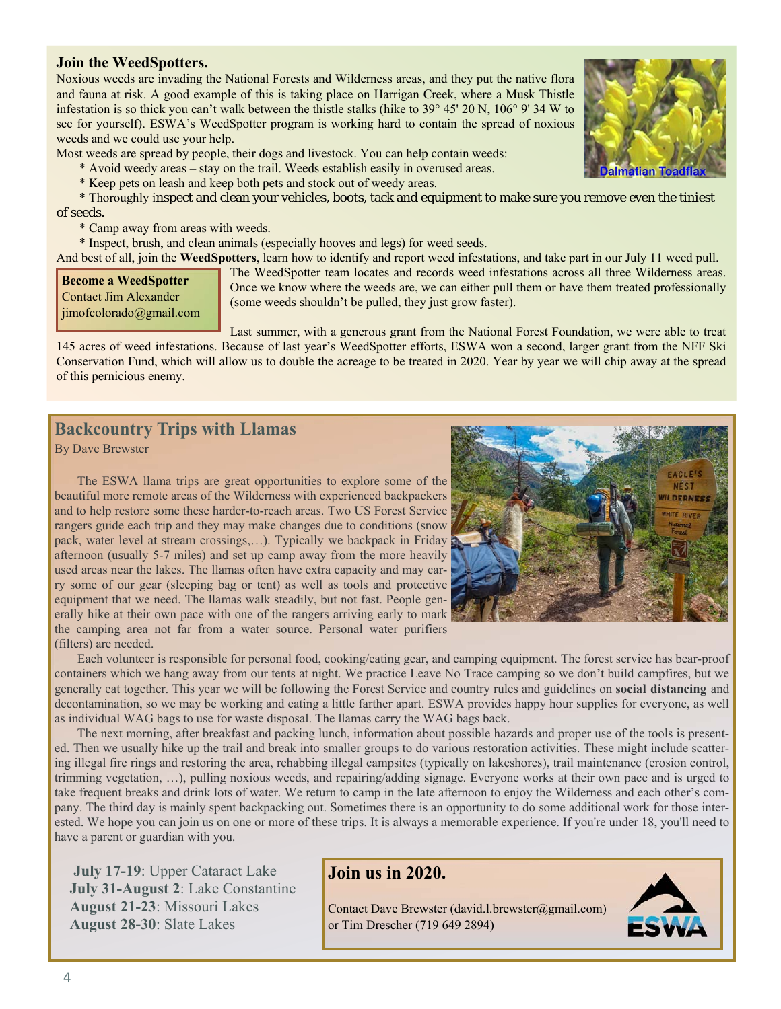#### **Join the WeedSpotters.**

Noxious weeds are invading the National Forests and Wilderness areas, and they put the native flora and fauna at risk. A good example of this is taking place on Harrigan Creek, where a Musk Thistle infestation is so thick you can't walk between the thistle stalks (hike to 39° 45' 20 N, 106° 9' 34 W to see for yourself). ESWA's WeedSpotter program is working hard to contain the spread of noxious weeds and we could use your help.

Most weeds are spread by people, their dogs and livestock. You can help contain weeds:

- \* Avoid weedy areas stay on the trail. Weeds establish easily in overused areas.
- \* Keep pets on leash and keep both pets and stock out of weedy areas.

 \* Thoroughly inspect and clean your vehicles, boots, tack and equipment to make sure you remove even the tiniest of seeds.

\* Camp away from areas with weeds.

\* Inspect, brush, and clean animals (especially hooves and legs) for weed seeds.

And best of all, join the **WeedSpotters**, learn how to identify and report weed infestations, and take part in our July 11 weed pull.

**Become a WeedSpotter**  Contact Jim Alexander jimofcolorado@gmail.com

The WeedSpotter team locates and records weed infestations across all three Wilderness areas. Once we know where the weeds are, we can either pull them or have them treated professionally (some weeds shouldn't be pulled, they just grow faster).

Last summer, with a generous grant from the National Forest Foundation, we were able to treat 145 acres of weed infestations. Because of last year's WeedSpotter efforts, ESWA won a second, larger grant from the NFF Ski Conservation Fund, which will allow us to double the acreage to be treated in 2020. Year by year we will chip away at the spread of this pernicious enemy.

## **Backcountry Trips with Llamas**

By Dave Brewster

 The ESWA llama trips are great opportunities to explore some of the beautiful more remote areas of the Wilderness with experienced backpackers and to help restore some these harder-to-reach areas. Two US Forest Service rangers guide each trip and they may make changes due to conditions (snow pack, water level at stream crossings,…). Typically we backpack in Friday afternoon (usually 5-7 miles) and set up camp away from the more heavily used areas near the lakes. The llamas often have extra capacity and may carry some of our gear (sleeping bag or tent) as well as tools and protective equipment that we need. The llamas walk steadily, but not fast. People generally hike at their own pace with one of the rangers arriving early to mark the camping area not far from a water source. Personal water purifiers (filters) are needed.



 Each volunteer is responsible for personal food, cooking/eating gear, and camping equipment. The forest service has bear-proof containers which we hang away from our tents at night. We practice Leave No Trace camping so we don't build campfires, but we generally eat together. This year we will be following the Forest Service and country rules and guidelines on **social distancing** and decontamination, so we may be working and eating a little farther apart. ESWA provides happy hour supplies for everyone, as well as individual WAG bags to use for waste disposal. The llamas carry the WAG bags back.

 The next morning, after breakfast and packing lunch, information about possible hazards and proper use of the tools is presented. Then we usually hike up the trail and break into smaller groups to do various restoration activities. These might include scattering illegal fire rings and restoring the area, rehabbing illegal campsites (typically on lakeshores), trail maintenance (erosion control, trimming vegetation, …), pulling noxious weeds, and repairing/adding signage. Everyone works at their own pace and is urged to take frequent breaks and drink lots of water. We return to camp in the late afternoon to enjoy the Wilderness and each other's company. The third day is mainly spent backpacking out. Sometimes there is an opportunity to do some additional work for those interested. We hope you can join us on one or more of these trips. It is always a memorable experience. If you're under 18, you'll need to have a parent or guardian with you.

 **August 28-30**: Slate Lakes **July 17-19**: Upper Cataract Lake **July 31-August 2**: Lake Constantine **August 21-23**: Missouri Lakes

#### **Join us in 2020.**

Contact Dave Brewster (david.l.brewster@gmail.com) or Tim Drescher (719 649 2894)



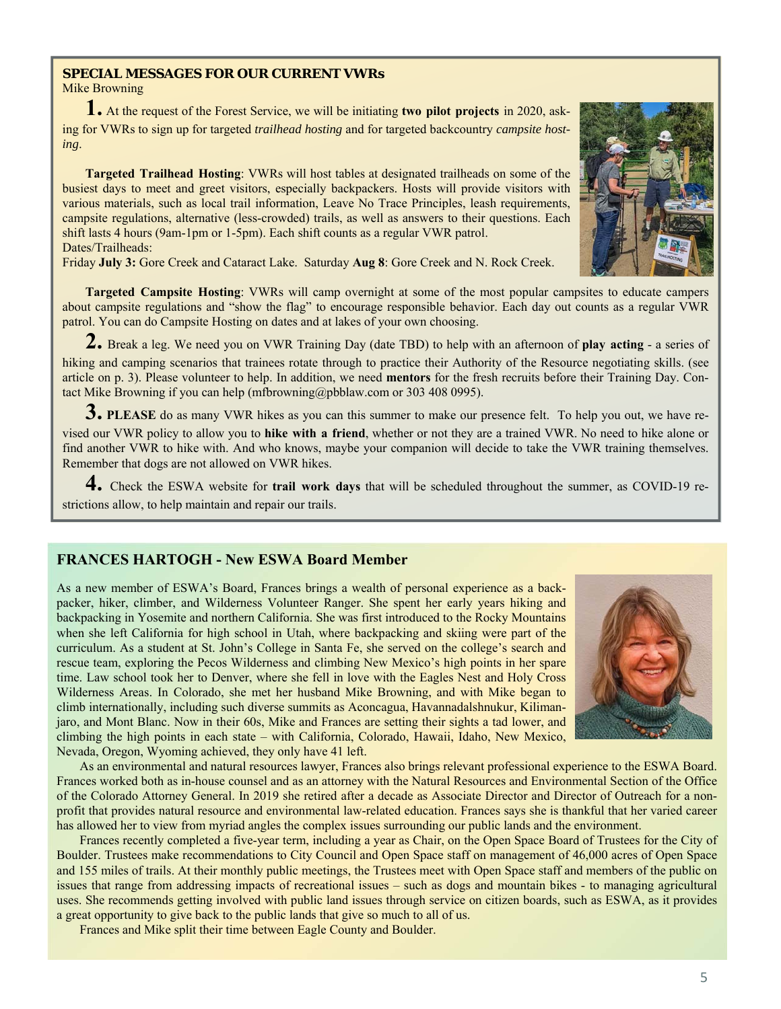#### **SPECIAL MESSAGES FOR OUR CURRENT VWRs**  Mike Browning

**1.** At the request of the Forest Service, we will be initiating **two pilot projects** in 2020, asking for VWRs to sign up for targeted *trailhead hosting* and for targeted backcountry *campsite hosting*.

 **Targeted Trailhead Hosting**: VWRs will host tables at designated trailheads on some of the busiest days to meet and greet visitors, especially backpackers. Hosts will provide visitors with various materials, such as local trail information, Leave No Trace Principles, leash requirements, campsite regulations, alternative (less-crowded) trails, as well as answers to their questions. Each shift lasts 4 hours (9am-1pm or 1-5pm). Each shift counts as a regular VWR patrol. Dates/Trailheads:

Friday **July 3:** Gore Creek and Cataract Lake. Saturday **Aug 8**: Gore Creek and N. Rock Creek.

 **Targeted Campsite Hosting**: VWRs will camp overnight at some of the most popular campsites to educate campers about campsite regulations and "show the flag" to encourage responsible behavior. Each day out counts as a regular VWR patrol. You can do Campsite Hosting on dates and at lakes of your own choosing.

**2.** Break a leg. We need you on VWR Training Day (date TBD) to help with an afternoon of **play acting** - a series of hiking and camping scenarios that trainees rotate through to practice their Authority of the Resource negotiating skills. (see article on p. 3). Please volunteer to help. In addition, we need **mentors** for the fresh recruits before their Training Day. Contact Mike Browning if you can help (mfbrowning@pbblaw.com or 303 408 0995).

**3.** PLEASE do as many VWR hikes as you can this summer to make our presence felt. To help you out, we have revised our VWR policy to allow you to **hike with a friend**, whether or not they are a trained VWR. No need to hike alone or find another VWR to hike with. And who knows, maybe your companion will decide to take the VWR training themselves. Remember that dogs are not allowed on VWR hikes.

**4.** Check the ESWA website for **trail work days** that will be scheduled throughout the summer, as COVID-19 restrictions allow, to help maintain and repair our trails.

#### **FRANCES HARTOGH - New ESWA Board Member**

As a new member of ESWA's Board, Frances brings a wealth of personal experience as a backpacker, hiker, climber, and Wilderness Volunteer Ranger. She spent her early years hiking and backpacking in Yosemite and northern California. She was first introduced to the Rocky Mountains when she left California for high school in Utah, where backpacking and skiing were part of the curriculum. As a student at St. John's College in Santa Fe, she served on the college's search and rescue team, exploring the Pecos Wilderness and climbing New Mexico's high points in her spare time. Law school took her to Denver, where she fell in love with the Eagles Nest and Holy Cross Wilderness Areas. In Colorado, she met her husband Mike Browning, and with Mike began to climb internationally, including such diverse summits as Aconcagua, Havannadalshnukur, Kilimanjaro, and Mont Blanc. Now in their 60s, Mike and Frances are setting their sights a tad lower, and climbing the high points in each state – with California, Colorado, Hawaii, Idaho, New Mexico, Nevada, Oregon, Wyoming achieved, they only have 41 left.

 As an environmental and natural resources lawyer, Frances also brings relevant professional experience to the ESWA Board. Frances worked both as in-house counsel and as an attorney with the Natural Resources and Environmental Section of the Office of the Colorado Attorney General. In 2019 she retired after a decade as Associate Director and Director of Outreach for a nonprofit that provides natural resource and environmental law-related education. Frances says she is thankful that her varied career has allowed her to view from myriad angles the complex issues surrounding our public lands and the environment.

 Frances recently completed a five-year term, including a year as Chair, on the Open Space Board of Trustees for the City of Boulder. Trustees make recommendations to City Council and Open Space staff on management of 46,000 acres of Open Space and 155 miles of trails. At their monthly public meetings, the Trustees meet with Open Space staff and members of the public on issues that range from addressing impacts of recreational issues – such as dogs and mountain bikes - to managing agricultural uses. She recommends getting involved with public land issues through service on citizen boards, such as ESWA, as it provides a great opportunity to give back to the public lands that give so much to all of us.

Frances and Mike split their time between Eagle County and Boulder.



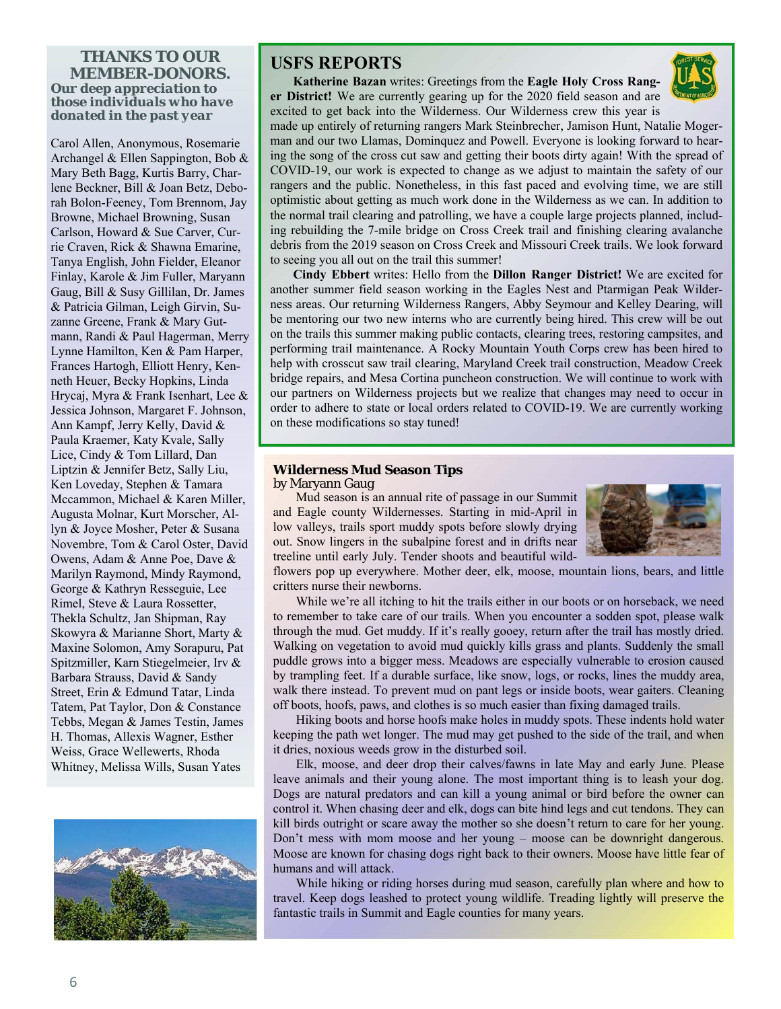#### *THANKS TO OUR MEMBER-DONORS. Our deep appreciation to those individuals who have donated in the past year*

Carol Allen, Anonymous, Rosemarie Archangel & Ellen Sappington, Bob & Mary Beth Bagg, Kurtis Barry, Charlene Beckner, Bill & Joan Betz, Deborah Bolon-Feeney, Tom Brennom, Jay Browne, Michael Browning, Susan Carlson, Howard & Sue Carver, Currie Craven, Rick & Shawna Emarine, Tanya English, John Fielder, Eleanor Finlay, Karole & Jim Fuller, Maryann Gaug, Bill & Susy Gillilan, Dr. James & Patricia Gilman, Leigh Girvin, Suzanne Greene, Frank & Mary Gutmann, Randi & Paul Hagerman, Merry Lynne Hamilton, Ken & Pam Harper, Frances Hartogh, Elliott Henry, Kenneth Heuer, Becky Hopkins, Linda Hrycaj, Myra & Frank Isenhart, Lee & Jessica Johnson, Margaret F. Johnson, Ann Kampf, Jerry Kelly, David & Paula Kraemer, Katy Kvale, Sally Lice, Cindy & Tom Lillard, Dan Liptzin & Jennifer Betz, Sally Liu, Ken Loveday, Stephen & Tamara Mccammon, Michael & Karen Miller, Augusta Molnar, Kurt Morscher, Allyn & Joyce Mosher, Peter & Susana Novembre, Tom & Carol Oster, David Owens, Adam & Anne Poe, Dave & Marilyn Raymond, Mindy Raymond, George & Kathryn Resseguie, Lee Rimel, Steve & Laura Rossetter, Thekla Schultz, Jan Shipman, Ray Skowyra & Marianne Short, Marty & Maxine Solomon, Amy Sorapuru, Pat Spitzmiller, Karn Stiegelmeier, Irv & Barbara Strauss, David & Sandy Street, Erin & Edmund Tatar, Linda Tatem, Pat Taylor, Don & Constance Tebbs, Megan & James Testin, James H. Thomas, Allexis Wagner, Esther Weiss, Grace Wellewerts, Rhoda Whitney, Melissa Wills, Susan Yates



# **USFS REPORTS**

 **Katherine Bazan** writes: Greetings from the **Eagle Holy Cross Ranger District!** We are currently gearing up for the 2020 field season and are excited to get back into the Wilderness. Our Wilderness crew this year is



made up entirely of returning rangers Mark Steinbrecher, Jamison Hunt, Natalie Mogerman and our two Llamas, Dominquez and Powell. Everyone is looking forward to hearing the song of the cross cut saw and getting their boots dirty again! With the spread of COVID-19, our work is expected to change as we adjust to maintain the safety of our rangers and the public. Nonetheless, in this fast paced and evolving time, we are still optimistic about getting as much work done in the Wilderness as we can. In addition to the normal trail clearing and patrolling, we have a couple large projects planned, including rebuilding the 7-mile bridge on Cross Creek trail and finishing clearing avalanche debris from the 2019 season on Cross Creek and Missouri Creek trails. We look forward to seeing you all out on the trail this summer!

 **Cindy Ebbert** writes: Hello from the **Dillon Ranger District!** We are excited for another summer field season working in the Eagles Nest and Ptarmigan Peak Wilderness areas. Our returning Wilderness Rangers, Abby Seymour and Kelley Dearing, will be mentoring our two new interns who are currently being hired. This crew will be out on the trails this summer making public contacts, clearing trees, restoring campsites, and performing trail maintenance. A Rocky Mountain Youth Corps crew has been hired to help with crosscut saw trail clearing, Maryland Creek trail construction, Meadow Creek bridge repairs, and Mesa Cortina puncheon construction. We will continue to work with our partners on Wilderness projects but we realize that changes may need to occur in order to adhere to state or local orders related to COVID-19. We are currently working on these modifications so stay tuned!

#### **Wilderness Mud Season Tips**

#### by Maryann Gaug

 Mud season is an annual rite of passage in our Summit and Eagle county Wildernesses. Starting in mid-April in low valleys, trails sport muddy spots before slowly drying out. Snow lingers in the subalpine forest and in drifts near treeline until early July. Tender shoots and beautiful wild-



flowers pop up everywhere. Mother deer, elk, moose, mountain lions, bears, and little critters nurse their newborns.

 While we're all itching to hit the trails either in our boots or on horseback, we need to remember to take care of our trails. When you encounter a sodden spot, please walk through the mud. Get muddy. If it's really gooey, return after the trail has mostly dried. Walking on vegetation to avoid mud quickly kills grass and plants. Suddenly the small puddle grows into a bigger mess. Meadows are especially vulnerable to erosion caused by trampling feet. If a durable surface, like snow, logs, or rocks, lines the muddy area, walk there instead. To prevent mud on pant legs or inside boots, wear gaiters. Cleaning off boots, hoofs, paws, and clothes is so much easier than fixing damaged trails.

Hiking boots and horse hoofs make holes in muddy spots. These indents hold water keeping the path wet longer. The mud may get pushed to the side of the trail, and when it dries, noxious weeds grow in the disturbed soil.

 Elk, moose, and deer drop their calves/fawns in late May and early June. Please leave animals and their young alone. The most important thing is to leash your dog. Dogs are natural predators and can kill a young animal or bird before the owner can control it. When chasing deer and elk, dogs can bite hind legs and cut tendons. They can kill birds outright or scare away the mother so she doesn't return to care for her young. Don't mess with mom moose and her young – moose can be downright dangerous. Moose are known for chasing dogs right back to their owners. Moose have little fear of humans and will attack.

While hiking or riding horses during mud season, carefully plan where and how to travel. Keep dogs leashed to protect young wildlife. Treading lightly will preserve the fantastic trails in Summit and Eagle counties for many years.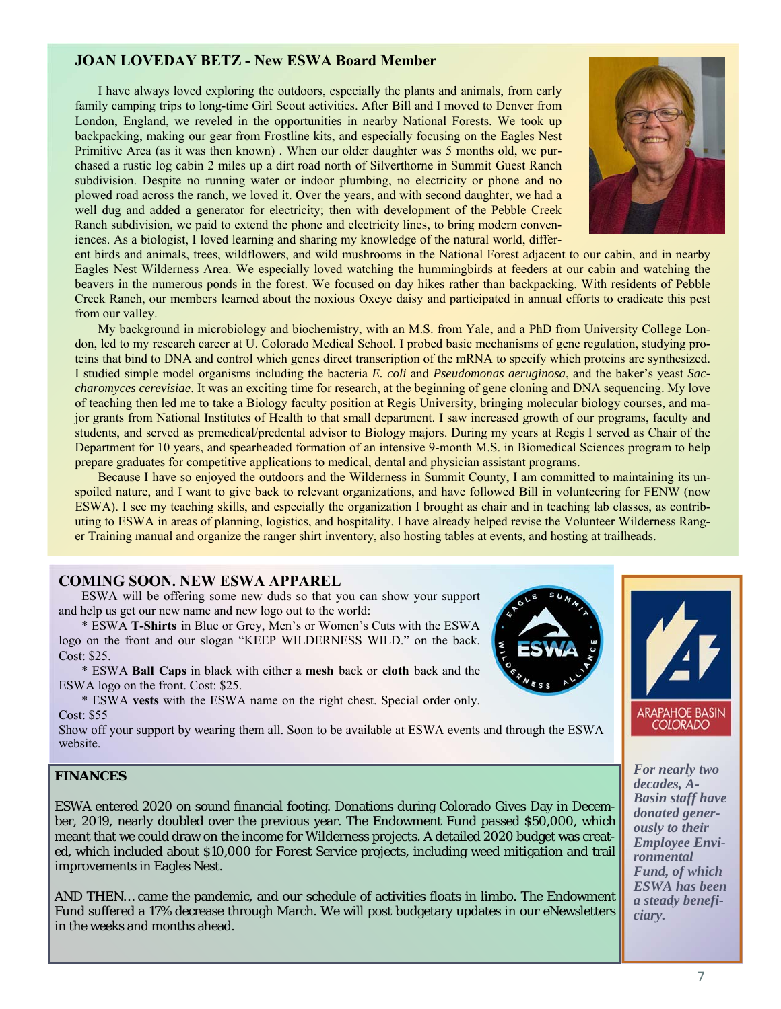#### **JOAN LOVEDAY BETZ - New ESWA Board Member**

 I have always loved exploring the outdoors, especially the plants and animals, from early family camping trips to long-time Girl Scout activities. After Bill and I moved to Denver from London, England, we reveled in the opportunities in nearby National Forests. We took up backpacking, making our gear from Frostline kits, and especially focusing on the Eagles Nest Primitive Area (as it was then known) . When our older daughter was 5 months old, we purchased a rustic log cabin 2 miles up a dirt road north of Silverthorne in Summit Guest Ranch subdivision. Despite no running water or indoor plumbing, no electricity or phone and no plowed road across the ranch, we loved it. Over the years, and with second daughter, we had a well dug and added a generator for electricity; then with development of the Pebble Creek Ranch subdivision, we paid to extend the phone and electricity lines, to bring modern conveniences. As a biologist, I loved learning and sharing my knowledge of the natural world, differ-



ent birds and animals, trees, wildflowers, and wild mushrooms in the National Forest adjacent to our cabin, and in nearby Eagles Nest Wilderness Area. We especially loved watching the hummingbirds at feeders at our cabin and watching the beavers in the numerous ponds in the forest. We focused on day hikes rather than backpacking. With residents of Pebble Creek Ranch, our members learned about the noxious Oxeye daisy and participated in annual efforts to eradicate this pest from our valley.

 My background in microbiology and biochemistry, with an M.S. from Yale, and a PhD from University College London, led to my research career at U. Colorado Medical School. I probed basic mechanisms of gene regulation, studying proteins that bind to DNA and control which genes direct transcription of the mRNA to specify which proteins are synthesized. I studied simple model organisms including the bacteria *E. coli* and *Pseudomonas aeruginosa*, and the baker's yeast *Saccharomyces cerevisiae*. It was an exciting time for research, at the beginning of gene cloning and DNA sequencing. My love of teaching then led me to take a Biology faculty position at Regis University, bringing molecular biology courses, and major grants from National Institutes of Health to that small department. I saw increased growth of our programs, faculty and students, and served as premedical/predental advisor to Biology majors. During my years at Regis I served as Chair of the Department for 10 years, and spearheaded formation of an intensive 9-month M.S. in Biomedical Sciences program to help prepare graduates for competitive applications to medical, dental and physician assistant programs.

 Because I have so enjoyed the outdoors and the Wilderness in Summit County, I am committed to maintaining its unspoiled nature, and I want to give back to relevant organizations, and have followed Bill in volunteering for FENW (now ESWA). I see my teaching skills, and especially the organization I brought as chair and in teaching lab classes, as contributing to ESWA in areas of planning, logistics, and hospitality. I have already helped revise the Volunteer Wilderness Ranger Training manual and organize the ranger shirt inventory, also hosting tables at events, and hosting at trailheads.

#### **COMING SOON. NEW ESWA APPAREL**

 ESWA will be offering some new duds so that you can show your support and help us get our new name and new logo out to the world:

 \* ESWA **T-Shirts** in Blue or Grey, Men's or Women's Cuts with the ESWA logo on the front and our slogan "KEEP WILDERNESS WILD." on the back. Cost: \$25.

 \* ESWA **Ball Caps** in black with either a **mesh** back or **cloth** back and the ESWA logo on the front. Cost: \$25.

 \* ESWA **vests** with the ESWA name on the right chest. Special order only. Cost: \$55

Show off your support by wearing them all. Soon to be available at ESWA events and through the ESWA website.

#### **FINANCES**

ESWA entered 2020 on sound financial footing. Donations during Colorado Gives Day in December, 2019, nearly doubled over the previous year. The Endowment Fund passed \$50,000, which meant that we could draw on the income for Wilderness projects. A detailed 2020 budget was created, which included about \$10,000 for Forest Service projects, including weed mitigation and trail improvements in Eagles Nest.

AND THEN… came the pandemic, and our schedule of activities floats in limbo. The Endowment Fund suffered a 17% decrease through March. We will post budgetary updates in our eNewsletters in the weeks and months ahead.





*For nearly two decades, A-Basin staff have donated generously to their Employee Environmental Fund, of which ESWA has been a steady beneficiary.*